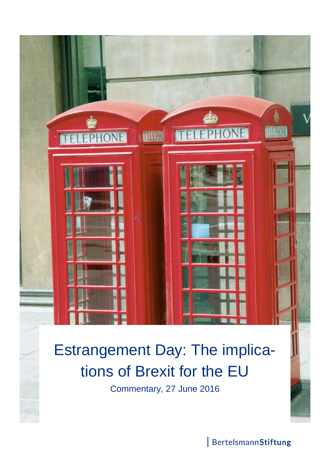

# Estrangement Day: The implications of Brexit for the EU

Commentary, 27 June 2016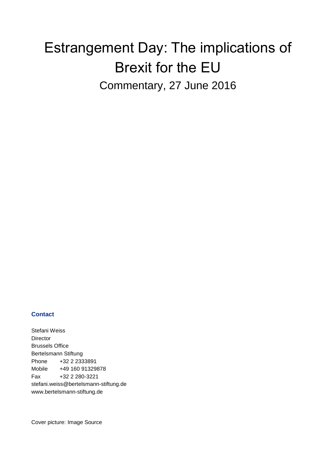# Estrangement Day: The implications of Brexit for the EU Commentary, 27 June 2016

#### **Contact**

Stefani Weiss Director Brussels Office Bertelsmann Stiftung Phone +32 2 2333891 Mobile +49 160 91329878 Fax +32 2 280-3221 stefani.weiss@bertelsmann-stiftung.de www.bertelsmann-stiftung.de

Cover picture: Image Source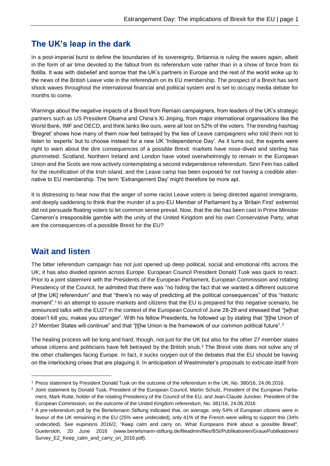### **The UK's leap in the dark**

In a post-imperial burst to define the boundaries of its sovereignty, Britannia is ruling the waves again, albeit in the form of air time devoted to the fallout from its referendum vote rather than in a show of force from its flotilla. It was with disbelief and sorrow that the UK's partners in Europe and the rest of the world woke up to the news of the British Leave vote in the referendum on its EU membership. The prospect of a Brexit has sent shock waves throughout the international financial and political system and is set to occupy media debate for months to come.

Warnings about the negative impacts of a Brexit from Remain campaigners, from leaders of the UK's strategic partners such as US President Obama and China's Xi Jinping, from major international organisations like the World Bank, IMF and OECD, and think tanks like ours, were all lost on 52% of the voters. The trending hashtag 'Bregret' shows how many of them now feel betrayed by the lies of Leave campaigners who told them not to listen to 'experts' but to choose instead for a new UK 'Independence Day'. As it turns out, the experts were right to warn about the dire consequences of a possible Brexit: markets have nose-dived and sterling has plummeted. Scotland, Northern Ireland and London have voted overwhelmingly to remain in the European Union and the Scots are now actively contemplating a second independence referendum. Sinn Fein has called for the reunification of the Irish island, and the Leave camp has been exposed for not having a credible alternative to EU membership. The term 'Estrangement Day' might therefore be more apt.

It is distressing to hear now that the anger of some racist Leave voters is being directed against immigrants, and deeply saddening to think that the murder of a pro-EU Member of Parliament by a 'Britain First' extremist did not persuade floating voters to let common sense prevail. Now, that the die has been cast in Prime Minister Cameron's irresponsible gamble with the unity of the United Kingdom and his own Conservative Party, what are the consequences of a possible Brexit for the EU?

## **Wait and listen**

-

The bitter referendum campaign has not just opened up deep political, social and emotional rifts across the UK; it has also divided opinion across Europe. European Council President Donald Tusk was quick to react. Prior to a joint statement with the Presidents of the European Parliament, European Commission and rotating Presidency of the Council, he admitted that there was "no hiding the fact that we wanted a different outcome of [the UK] referendum" and that "there's no way of predicting all the political consequences" of this "historic moment".<sup>1</sup> In an attempt to assure markets and citizens that the EU is prepared for this negative scenario, he announced talks with the EU27 in the context of the European Council of June 28-29 and stressed that "[w]hat doesn't kill you, makes you stronger". With his fellow Presidents, he followed up by stating that "[t]he Union of 27 Member States will continue" and that "[t[he Union is the framework of our common political future".<sup>2</sup>

The healing process will be long and hard, though, not just for the UK but also for the other 27 member states whose citizens and politicians have felt betrayed by the British snub.<sup>3</sup> The Brexit vote does not solve any of the other challenges facing Europe. In fact, it sucks oxygen out of the debates that the EU should be having on the interlocking crises that are plaguing it. In anticipation of Westminster's proposals to extricate itself from

<sup>1</sup> Press statement by President Donald Tusk on the outcome of the referendum in the UK, No. 380/16, 24.06.2016.

<sup>&</sup>lt;sup>2</sup> Joint statement by Donald Tusk, President of the European Council, Martin Schulz, President of the European Parliament, Mark Rutte, holder of the rotating Presidency of the Council of the EU, and Jean-Claude Juncker, President of the European Commission, on the outcome of the United Kingdom referendum, No. 381/16, 24.06.2016.

<sup>&</sup>lt;sup>3</sup> A pre-referendum poll by the Bertelsmann Stiftung indicated that, on average, only 54% of European citizens were in favour of the UK remaining in the EU (25% were undecided), only 41% of the French were willing to support this (34% undecided). See eupinions 2016/2, "Keep calm and carry on. What Europeans think about a possible Brexit", Guetersloh, 20 June 2016 (www.bertelsmann-stiftung.de/fileadmin/files/BSt/Publikationen/GrauePublikationen/ Survey\_EZ\_Keep\_calm\_and\_carry\_on\_2016.pdf).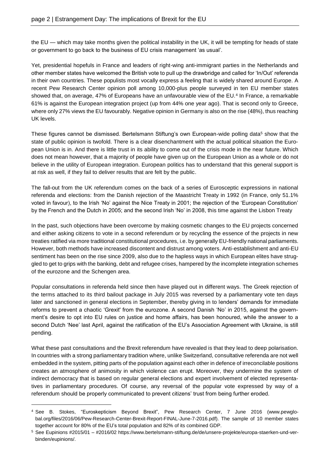the EU — which may take months given the political instability in the UK, it will be tempting for heads of state or government to go back to the business of EU crisis management 'as usual'.

Yet, presidential hopefuls in France and leaders of right-wing anti-immigrant parties in the Netherlands and other member states have welcomed the British vote to pull up the drawbridge and called for 'In/Out' referenda in their own countries. These populists most vocally express a feeling that is widely shared around Europe. A recent Pew Research Center opinion poll among 10,000-plus people surveyed in ten EU member states showed that, on average, 47% of Europeans have an unfavourable view of the EU.<sup>4</sup> In France, a remarkable 61% is against the European integration project (up from 44% one year ago). That is second only to Greece, where only 27% views the EU favourably. Negative opinion in Germany is also on the rise (48%), thus reaching UK levels.

These figures cannot be dismissed. Bertelsmann Stiftung's own European-wide polling data<sup>5</sup> show that the state of public opinion is twofold. There is a clear disenchantment with the actual political situation the European Union is in. And there is little trust in its ability to come out of the crisis mode in the near future. Which does not mean however, that a majority of people have given up on the European Union as a whole or do not believe in the utility of European integration. European politics has to understand that this general support is at risk as well, if they fail to deliver results that are felt by the public.

The fall-out from the UK referendum comes on the back of a series of Eurosceptic expressions in national referenda and elections: from the Danish rejection of the Maastricht Treaty in 1992 (in France, only 51.1% voted in favour), to the Irish 'No' against the Nice Treaty in 2001; the rejection of the 'European Constitution' by the French and the Dutch in 2005; and the second Irish 'No' in 2008, this time against the Lisbon Treaty

In the past, such objections have been overcome by making cosmetic changes to the EU projects concerned and either asking citizens to vote in a second referendum or by recycling the essence of the projects in new treaties ratified via more traditional constitutional procedures, i.e. by generally EU-friendly national parliaments. However, both methods have increased discontent and distrust among voters. Anti-establishment and anti-EU sentiment has been on the rise since 2009, also due to the hapless ways in which European elites have struggled to get to grips with the banking, debt and refugee crises, hampered by the incomplete integration schemes of the eurozone and the Schengen area.

Popular consultations in referenda held since then have played out in different ways. The Greek rejection of the terms attached to its third bailout package in July 2015 was reversed by a parliamentary vote ten days later and sanctioned in general elections in September, thereby giving in to lenders' demands for immediate reforms to prevent a chaotic 'Grexit' from the eurozone. A second Danish 'No' in 2015, against the government's desire to opt into EU rules on justice and home affairs, has been honoured, while the answer to a second Dutch 'Nee' last April, against the ratification of the EU's Association Agreement with Ukraine, is still pending.

What these past consultations and the Brexit referendum have revealed is that they lead to deep polarisation. In countries with a strong parliamentary tradition where, unlike Switzerland, consultative referenda are not well embedded in the system, pitting parts of the population against each other in defence of irreconcilable positions creates an atmosphere of animosity in which violence can erupt. Moreover, they undermine the system of indirect democracy that is based on regular general elections and expert involvement of elected representatives in parliamentary procedures. Of course, any reversal of the popular vote expressed by way of a referendum should be properly communicated to prevent citizens' trust from being further eroded.

-

<sup>4</sup> See B. Stokes, "Euroskepticism Beyond Brexit", Pew Research Center, 7 June 2016 [\(www.pewglo](http://www.pewglobal.org/files/2016/06/Pew-Research-Center-Brexit-Report-FINAL-June-7-2016.pdf)[bal.org/files/2016/06/Pew-Research-Center-Brexit-Report-FINAL-June-7-2016.pdf\)](http://www.pewglobal.org/files/2016/06/Pew-Research-Center-Brexit-Report-FINAL-June-7-2016.pdf). The sample of 10 member states together account for 80% of the EU's total population and 82% of its combined GDP.

<sup>5</sup> See Eupinions #2015/01 – #2016/02 https://www.bertelsmann-stiftung.de/de/unsere-projekte/europa-staerken-und-verbinden/eupinions/.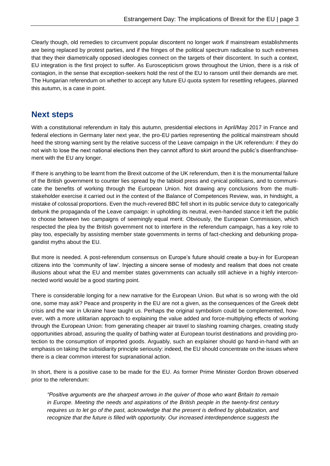Clearly though, old remedies to circumvent popular discontent no longer work if mainstream establishments are being replaced by protest parties, and if the fringes of the political spectrum radicalise to such extremes that they their diametrically opposed ideologies connect on the targets of their discontent. In such a context, EU integration is the first project to suffer. As Euroscepticism grows throughout the Union, there is a risk of contagion, in the sense that exception-seekers hold the rest of the EU to ransom until their demands are met. The Hungarian referendum on whether to accept any future EU quota system for resettling refugees, planned this autumn, is a case in point.

#### **Next steps**

With a constitutional referendum in Italy this autumn, presidential elections in April/May 2017 in France and federal elections in Germany later next year, the pro-EU parties representing the political mainstream should heed the strong warning sent by the relative success of the Leave campaign in the UK referendum: if they do not wish to lose the next national elections then they cannot afford to skirt around the public's disenfranchisement with the EU any longer.

If there is anything to be learnt from the Brexit outcome of the UK referendum, then it is the monumental failure of the British government to counter lies spread by the tabloid press and cynical politicians, and to communicate the benefits of working through the European Union. Not drawing any conclusions from the multistakeholder exercise it carried out in the context of the Balance of Competences Review, was, in hindsight, a mistake of colossal proportions. Even the much-revered BBC fell short in its public service duty to categorically debunk the propaganda of the Leave campaign: in upholding its neutral, even-handed stance it left the public to choose between two campaigns of seemingly equal merit. Obviously, the European Commission, which respected the plea by the British government not to interfere in the referendum campaign, has a key role to play too, especially by assisting member state governments in terms of fact-checking and debunking propagandist myths about the EU.

But more is needed. A post-referendum consensus on Europe's future should create a buy-in for European citizens into the 'community of law'. Injecting a sincere sense of modesty and realism that does not create illusions about what the EU and member states governments can actually still achieve in a highly interconnected world would be a good starting point.

There is considerable longing for a new narrative for the European Union. But what is so wrong with the old one, some may ask? Peace and prosperity in the EU are not a given, as the consequences of the Greek debt crisis and the war in Ukraine have taught us. Perhaps the original symbolism could be complemented, however, with a more utilitarian approach to explaining the value added and force-multiplying effects of working through the European Union: from generating cheaper air travel to slashing roaming charges, creating study opportunities abroad, assuring the quality of bathing water at European tourist destinations and providing protection to the consumption of imported goods. Arguably, such an explainer should go hand-in-hand with an emphasis on taking the subsidiarity principle seriously: indeed, the EU should concentrate on the issues where there is a clear common interest for supranational action.

In short, there is a positive case to be made for the EU. As former Prime Minister Gordon Brown observed prior to the referendum:

*"Positive arguments are the sharpest arrows in the quiver of those who want Britain to remain in Europe. Meeting the needs and aspirations of the British people in the twenty-first century requires us to let go of the past, acknowledge that the present is defined by globalization, and recognize that the future is filled with opportunity. Our increased interdependence suggests the*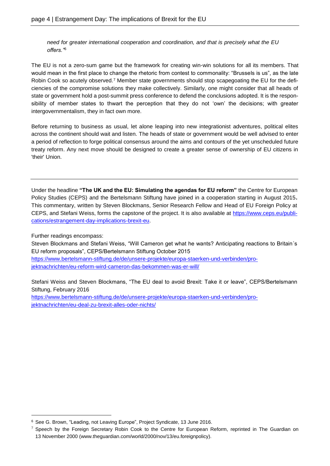*need for greater international cooperation and coordination, and that is precisely what the EU offers."*<sup>6</sup>

The EU is not a zero-sum game but the framework for creating win-win solutions for all its members. That would mean in the first place to change the rhetoric from contest to commonality: "Brussels is us", as the late Robin Cook so acutely observed.<sup>7</sup> Member state governments should stop scapegoating the EU for the deficiencies of the compromise solutions they make collectively. Similarly, one might consider that all heads of state or government hold a post-summit press conference to defend the conclusions adopted. It is the responsibility of member states to thwart the perception that they do not 'own' the decisions; with greater intergovernmentalism, they in fact own more.

Before returning to business as usual, let alone leaping into new integrationist adventures, political elites across the continent should wait and listen. The heads of state or government would be well advised to enter a period of reflection to forge political consensus around the aims and contours of the yet unscheduled future treaty reform. Any next move should be designed to create a greater sense of ownership of EU citizens in 'their' Union.

Under the headline **"The UK and the EU: Simulating the agendas for EU reform"** the Centre for European Policy Studies (CEPS) and the Bertelsmann Stiftung have joined in a cooperation starting in August 2015**.**  This commentary, written by Steven Blockmans, Senior Research Fellow and Head of EU Foreign Policy at CEPS, and Stefani Weiss, forms the capstone of the project. It is also available at [https://www.ceps.eu/publi](https://www.ceps.eu/publications/estrangement-day-implications-brexit-eu)[cations/estrangement-day-implications-brexit-eu.](https://www.ceps.eu/publications/estrangement-day-implications-brexit-eu)

Further readings encompass:

-

Steven Blockmans and Stefani Weiss, "Will Cameron get what he wants? Anticipating reactions to Britain´s EU reform proposals", CEPS/Bertelsmann Stiftung October 2015

[https://www.bertelsmann-stiftung.de/de/unsere-projekte/europa-staerken-und-verbinden/pro](https://www.bertelsmann-stiftung.de/de/unsere-projekte/europa-staerken-und-verbinden/projektnachrichten/eu-reform-wird-cameron-das-bekommen-was-er-will/)[jektnachrichten/eu-reform-wird-cameron-das-bekommen-was-er-will/](https://www.bertelsmann-stiftung.de/de/unsere-projekte/europa-staerken-und-verbinden/projektnachrichten/eu-reform-wird-cameron-das-bekommen-was-er-will/)

Stefani Weiss and Steven Blockmans, "The EU deal to avoid Brexit: Take it or leave", CEPS/Bertelsmann Stiftung, February 2016

[https://www.bertelsmann-stiftung.de/de/unsere-projekte/europa-staerken-und-verbinden/pro](https://www.bertelsmann-stiftung.de/de/unsere-projekte/europa-staerken-und-verbinden/projektnachrichten/eu-deal-zu-brexit-alles-oder-nichts/)[jektnachrichten/eu-deal-zu-brexit-alles-oder-nichts/](https://www.bertelsmann-stiftung.de/de/unsere-projekte/europa-staerken-und-verbinden/projektnachrichten/eu-deal-zu-brexit-alles-oder-nichts/)

<sup>6</sup> See G. Brown, "Leading, not Leaving Europe", Project Syndicate, 13 June 2016.

 $7$  Speech by the Foreign Secretary Robin Cook to the Centre for European Reform, reprinted in The Guardian on 13 November 2000 (www.theguardian.com/world/2000/nov/13/eu.foreignpolicy).